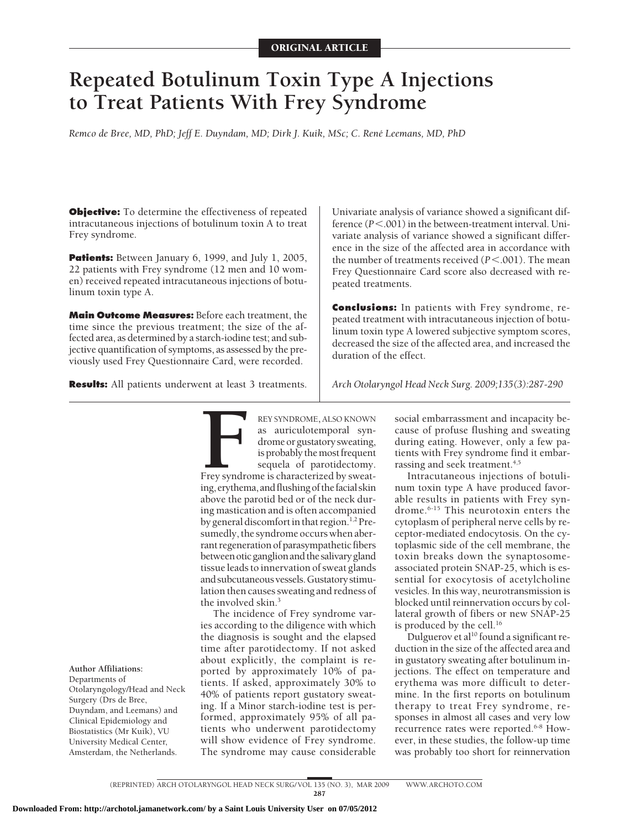# **Repeated Botulinum Toxin Type A Injections to Treat Patients With Frey Syndrome**

*Remco de Bree, MD, PhD; Jeff E. Duyndam, MD; Dirk J. Kuik, MSc; C. Rene´ Leemans, MD, PhD*

**Objective:** To determine the effectiveness of repeated intracutaneous injections of botulinum toxin A to treat Frey syndrome.

**Patients:** Between January 6, 1999, and July 1, 2005, 22 patients with Frey syndrome (12 men and 10 women) received repeated intracutaneous injections of botulinum toxin type A.

**Main Outcome Measures:** Before each treatment, the time since the previous treatment; the size of the affected area, as determined by a starch-iodine test; and subjective quantification of symptoms, as assessed by the previously used Frey Questionnaire Card, were recorded.

**Results:** All patients underwent at least 3 treatments.

Univariate analysis of variance showed a significant difference ( $P < 0.001$ ) in the between-treatment interval. Univariate analysis of variance showed a significant difference in the size of the affected area in accordance with the number of treatments received  $(P < .001)$ . The mean Frey Questionnaire Card score also decreased with repeated treatments.

**Conclusions:** In patients with Frey syndrome, repeated treatment with intracutaneous injection of botulinum toxin type A lowered subjective symptom scores, decreased the size of the affected area, and increased the duration of the effect.

*Arch Otolaryngol Head Neck Surg. 2009;135(3):287-290*

**FREY SYNDROME, ALSO KNOWN**<br>
as auriculotemporal syn-<br>
drome or gustatory sweating,<br>
is probably the most frequent<br>
sequela of parotidectomy.<br>
Frey syndrome is characterized by sweat-<br>
ing, erythema, and flushing of the fa as auriculotemporal syndrome or gustatory sweating, is probably the most frequent sequela of parotidectomy. Frey syndrome is characterized by sweatabove the parotid bed or of the neck during mastication and is often accompanied by general discomfort in that region.<sup>1,2</sup> Presumedly, the syndrome occurs when aberrant regeneration of parasympathetic fibers between oticganglionand the salivarygland tissue leads to innervation of sweat glands and subcutaneousvessels.Gustatory stimulation then causes sweating and redness of the involved skin.3

The incidence of Frey syndrome varies according to the diligence with which the diagnosis is sought and the elapsed time after parotidectomy. If not asked about explicitly, the complaint is reported by approximately 10% of patients. If asked, approximately 30% to 40% of patients report gustatory sweating. If a Minor starch-iodine test is performed, approximately 95% of all patients who underwent parotidectomy will show evidence of Frey syndrome. The syndrome may cause considerable

social embarrassment and incapacity because of profuse flushing and sweating during eating. However, only a few patients with Frey syndrome find it embarrassing and seek treatment.<sup>4,5</sup>

Intracutaneous injections of botulinum toxin type A have produced favorable results in patients with Frey syndrome.6-15 This neurotoxin enters the cytoplasm of peripheral nerve cells by receptor-mediated endocytosis. On the cytoplasmic side of the cell membrane, the toxin breaks down the synaptosomeassociated protein SNAP-25, which is essential for exocytosis of acetylcholine vesicles. In this way, neurotransmission is blocked until reinnervation occurs by collateral growth of fibers or new SNAP-25 is produced by the cell.<sup>16</sup>

Dulguerov et al<sup>10</sup> found a significant reduction in the size of the affected area and in gustatory sweating after botulinum injections. The effect on temperature and erythema was more difficult to determine. In the first reports on botulinum therapy to treat Frey syndrome, responses in almost all cases and very low recurrence rates were reported.<sup>6-8</sup> However, in these studies, the follow-up time was probably too short for reinnervation

Departments of Otolaryngology/Head and Neck Surgery (Drs de Bree, Duyndam, and Leemans) and Clinical Epidemiology and Biostatistics (Mr Kuik), VU

University Medical Center, Amsterdam, the Netherlands.

**Author Affiliations:**

Downloaded From: http://archotol.jamanetwork.com/ by a Saint Louis University User on 07/05/2012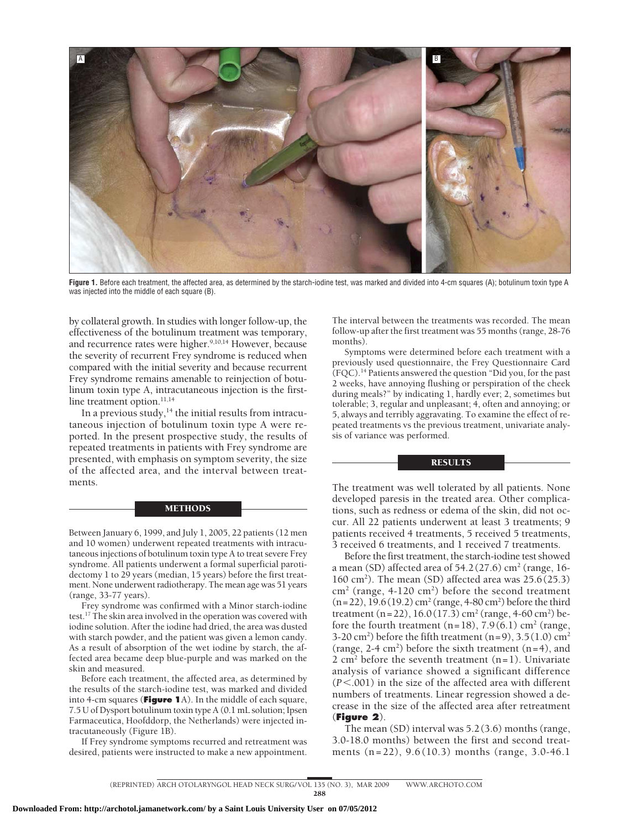

**Figure 1.** Before each treatment, the affected area, as determined by the starch-iodine test, was marked and divided into 4-cm squares (A); botulinum toxin type A was injected into the middle of each square (B).

by collateral growth. In studies with longer follow-up, the effectiveness of the botulinum treatment was temporary, and recurrence rates were higher.<sup>9,10,14</sup> However, because the severity of recurrent Frey syndrome is reduced when compared with the initial severity and because recurrent Frey syndrome remains amenable to reinjection of botulinum toxin type A, intracutaneous injection is the firstline treatment option.<sup>11,14</sup>

In a previous study, $14$  the initial results from intracutaneous injection of botulinum toxin type A were reported. In the present prospective study, the results of repeated treatments in patients with Frey syndrome are presented, with emphasis on symptom severity, the size of the affected area, and the interval between treatments.

### **METHODS**

Between January 6, 1999, and July 1, 2005, 22 patients (12 men and 10 women) underwent repeated treatments with intracutaneous injections of botulinum toxin type A to treat severe Frey syndrome. All patients underwent a formal superficial parotidectomy 1 to 29 years (median, 15 years) before the first treatment. None underwent radiotherapy. The mean age was 51 years (range, 33-77 years).

Frey syndrome was confirmed with a Minor starch-iodine test.17 The skin area involved in the operation was covered with iodine solution. After the iodine had dried, the area was dusted with starch powder, and the patient was given a lemon candy. As a result of absorption of the wet iodine by starch, the affected area became deep blue-purple and was marked on the skin and measured.

Before each treatment, the affected area, as determined by the results of the starch-iodine test, was marked and divided into 4-cm squares (**Figure 1**A). In the middle of each square, 7.5 U of Dysport botulinum toxin type A (0.1 mL solution; Ipsen Farmaceutica, Hoofddorp, the Netherlands) were injected intracutaneously (Figure 1B).

If Frey syndrome symptoms recurred and retreatment was desired, patients were instructed to make a new appointment. The interval between the treatments was recorded. The mean follow-up after the first treatment was 55 months (range, 28-76 months).

Symptoms were determined before each treatment with a previously used questionnaire, the Frey Questionnaire Card (FQC).14 Patients answered the question "Did you, for the past 2 weeks, have annoying flushing or perspiration of the cheek during meals?" by indicating 1, hardly ever; 2, sometimes but tolerable; 3, regular and unpleasant; 4, often and annoying; or 5, always and terribly aggravating. To examine the effect of repeated treatments vs the previous treatment, univariate analysis of variance was performed.

## **RESULTS**

The treatment was well tolerated by all patients. None developed paresis in the treated area. Other complications, such as redness or edema of the skin, did not occur. All 22 patients underwent at least 3 treatments; 9 patients received 4 treatments, 5 received 5 treatments, 3 received 6 treatments, and 1 received 7 treatments.

Before the first treatment, the starch-iodine test showed a mean (SD) affected area of  $54.2(27.6)$  cm<sup>2</sup> (range, 16-160 cm<sup>2</sup>). The mean (SD) affected area was  $25.6(25.3)$  $\text{cm}^2$  (range, 4-120  $\text{cm}^2$ ) before the second treatment  $(n=22), 19.6(19.2)$  cm<sup>2</sup> (range, 4-80 cm<sup>2</sup>) before the third treatment (n = 22), 16.0 (17.3) cm<sup>2</sup> (range, 4-60 cm<sup>2</sup>) before the fourth treatment  $(n=18)$ , 7.9 (6.1) cm<sup>2</sup> (range, 3-20 cm<sup>2</sup>) before the fifth treatment  $(n=9)$ , 3.5 (1.0) cm<sup>2</sup> (range, 2-4 cm<sup>2</sup>) before the sixth treatment  $(n=4)$ , and 2 cm<sup>2</sup> before the seventh treatment  $(n=1)$ . Univariate analysis of variance showed a significant difference (*P*.001) in the size of the affected area with different numbers of treatments. Linear regression showed a decrease in the size of the affected area after retreatment (**Figure 2**).

The mean (SD) interval was 5.2 (3.6) months (range, 3.0-18.0 months) between the first and second treatments (n=22), 9.6 (10.3) months (range, 3.0-46.1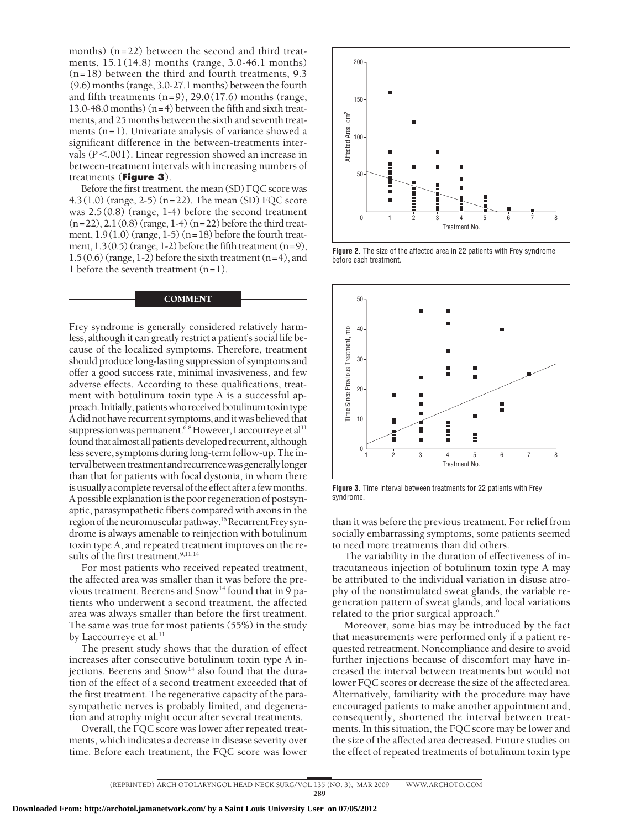months) (n=22) between the second and third treatments, 15.1 (14.8) months (range, 3.0-46.1 months) (n=18) between the third and fourth treatments, 9.3 (9.6) months (range, 3.0-27.1 months) between the fourth and fifth treatments  $(n=9)$ , 29.0 (17.6) months (range, 13.0-48.0 months) (n=4) between the fifth and sixth treatments, and 25 months between the sixth and seventh treatments (n=1). Univariate analysis of variance showed a significant difference in the between-treatments intervals ( $P$ <.001). Linear regression showed an increase in between-treatment intervals with increasing numbers of treatments (**Figure 3**).

Before the first treatment, the mean (SD) FQC score was 4.3(1.0) (range, 2-5) (n=22). The mean (SD) FQC score was 2.5 (0.8) (range, 1-4) before the second treatment  $(n=22), 2.1(0.8)$  (range, 1-4)  $(n=22)$  before the third treatment,  $1.9(1.0)$  (range,  $1-5$ ) (n=18) before the fourth treatment,  $1.3(0.5)$  (range, 1-2) before the fifth treatment (n=9),  $1.5(0.6)$  (range, 1-2) before the sixth treatment (n=4), and 1 before the seventh treatment  $(n=1)$ .

## **COMMENT**

Frey syndrome is generally considered relatively harmless, although it can greatly restrict a patient's social life because of the localized symptoms. Therefore, treatment should produce long-lasting suppression of symptoms and offer a good success rate, minimal invasiveness, and few adverse effects. According to these qualifications, treatment with botulinum toxin type A is a successful approach. Initially, patientswho received botulinum toxin type A did not have recurrent symptoms, anditwas believed that suppression was permanent.<sup>6-8</sup> However, Laccourreye et al<sup>11</sup> found that almost all patients developed recurrent, although less severe, symptoms during long-term follow-up. The interval between treatment and recurrence was generally longer than that for patients with focal dystonia, in whom there is usually a complete reversal of the effect after a few months. A possible explanation is the poor regeneration of postsynaptic, parasympathetic fibers compared with axons in the region of the neuromuscular pathway.<sup>16</sup> Recurrent Frey syndrome is always amenable to reinjection with botulinum toxin type A, and repeated treatment improves on the results of the first treatment.<sup>9,11,14</sup>

For most patients who received repeated treatment, the affected area was smaller than it was before the previous treatment. Beerens and  $Snow<sup>14</sup> found that in 9.$ tients who underwent a second treatment, the affected area was always smaller than before the first treatment. The same was true for most patients (55%) in the study by Laccourreye et al.<sup>11</sup>

The present study shows that the duration of effect increases after consecutive botulinum toxin type A injections. Beerens and  $Snow<sup>14</sup>$  also found that the duration of the effect of a second treatment exceeded that of the first treatment. The regenerative capacity of the parasympathetic nerves is probably limited, and degeneration and atrophy might occur after several treatments.

Overall, the FQC score was lower after repeated treatments, which indicates a decrease in disease severity over time. Before each treatment, the FQC score was lower



**Figure 2.** The size of the affected area in 22 patients with Frey syndrome before each treatment.



**Figure 3.** Time interval between treatments for 22 patients with Frey syndrome.

than it was before the previous treatment. For relief from socially embarrassing symptoms, some patients seemed to need more treatments than did others.

The variability in the duration of effectiveness of intracutaneous injection of botulinum toxin type A may be attributed to the individual variation in disuse atrophy of the nonstimulated sweat glands, the variable regeneration pattern of sweat glands, and local variations related to the prior surgical approach.<sup>9</sup>

Moreover, some bias may be introduced by the fact that measurements were performed only if a patient requested retreatment. Noncompliance and desire to avoid further injections because of discomfort may have increased the interval between treatments but would not lower FQC scores or decrease the size of the affected area. Alternatively, familiarity with the procedure may have encouraged patients to make another appointment and, consequently, shortened the interval between treatments. In this situation, the FQC score may be lower and the size of the affected area decreased. Future studies on the effect of repeated treatments of botulinum toxin type

<sup>289</sup>